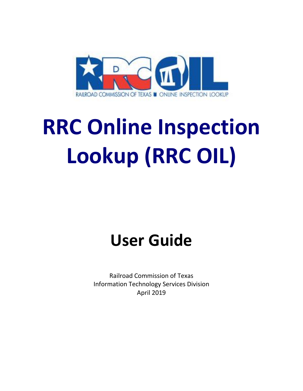

# **RRC Online Inspection Lookup (RRC OIL)**

# **User Guide**

Railroad Commission of Texas Information Technology Services Division April 2019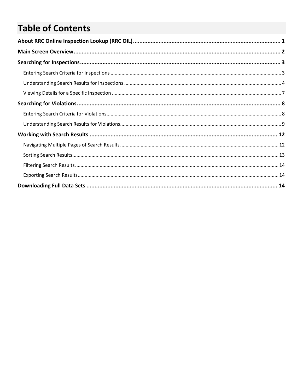# **Table of Contents**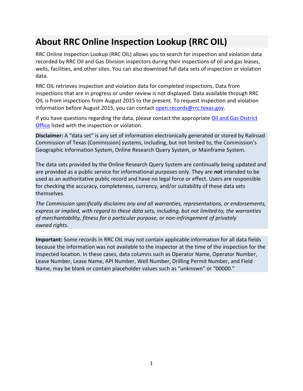# <span id="page-3-0"></span>**About RRC Online Inspection Lookup (RRC OIL)**

RRC Online Inspection Lookup (RRC OIL) allows you to search for inspection and violation data recorded by RRC Oil and Gas Division inspectors during their inspections of oil and gas leases, wells, facilities, and other sites. You can also download full data sets of inspection or violation data.

RRC OIL retrieves inspection and violation data for completed inspections. Data from inspections that are in progress or under review is not displayed. Data available through RRC OIL is from inspections from August 2015 to the present. To request inspection and violation information before August 2015, you can contact [open.records@rrc.texas.gov.](mailto:open.records@rrc.texas.gov)

If you have questions regarding the data, please contact the appropriate Oil and Gas District [Office](http://www.rrc.state.tx.us/about-us/organization-activities/rrc-locations/) listed with the inspection or violation.

**Disclaimer:** A "data set" is any set of information electronically generated or stored by Railroad Commission of Texas (Commission) systems, including, but not limited to, the Commission's Geographic Information System, Online Research Query System, or Mainframe System.

The data sets provided by the Online Research Query System are continually being updated and are provided as a public service for informational purposes only. They are **not** intended to be used as an authoritative public record and have no legal force or effect. Users are responsible for checking the accuracy, completeness, currency, and/or suitability of these data sets themselves.

*The Commission specifically disclaims any and all warranties, representations, or endorsements, express or implied, with regard to these data sets, including, but not limited to, the warranties of merchantability, fitness for a particular purpose, or non-infringement of privately owned rights.*

**Important:** Some records in RRC OIL may not contain applicable information for all data fields because the information was not available to the inspector at the time of the inspection for the inspected location. In these cases, data columns such as Operator Name, Operator Number, Lease Number, Lease Name, API Number, Well Number, Drilling Permit Number, and Field Name, may be blank or contain placeholder values such as "unknown" or "00000."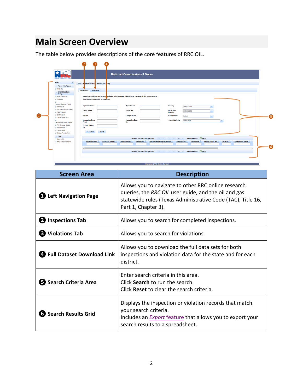# <span id="page-4-0"></span>**Main Screen Overview**

The table below provides descriptions of the core features of RRC OIL.

|  | <b>MERCIAD COMMERCION OF TE</b>                                                                                                                                                                                                                                                                                              | <b>Railroad Commission of Texas</b>                                                                                                                                                                                                                                                                                                                                                                                                                                                                                                                                                            |   |
|--|------------------------------------------------------------------------------------------------------------------------------------------------------------------------------------------------------------------------------------------------------------------------------------------------------------------------------|------------------------------------------------------------------------------------------------------------------------------------------------------------------------------------------------------------------------------------------------------------------------------------------------------------------------------------------------------------------------------------------------------------------------------------------------------------------------------------------------------------------------------------------------------------------------------------------------|---|
|  | Menu<br>- Public Data Access                                                                                                                                                                                                                                                                                                 | RRC Or ine Inspection Lookup (RRC OIL)                                                                                                                                                                                                                                                                                                                                                                                                                                                                                                                                                         |   |
|  | <b>D RRC OIL</b><br>Oil and Gas Data                                                                                                                                                                                                                                                                                         | <b>Wolations</b><br>Inspections                                                                                                                                                                                                                                                                                                                                                                                                                                                                                                                                                                |   |
|  | Query<br>C Production Data<br>D Wellbore<br>$\mathbf{D}$<br>Injection Disposal Permit<br>D Severance<br>D P-4 Gatherer/Purchaser<br>Cas Proration<br>D Oil Proration<br>D Organization (P-5)<br>D.<br>Inactive Well Aging Report<br>D P-5 Renewal Status<br><b>D</b> Inactive Well<br>Orphan Well<br>D Drilling Permit (W-1) | Inspection, violation, and enforce next data prior to August 1, 2015, is not available via this search engine.<br>A full dataset is available for download.<br><b>Operator Name</b><br><b>Operator No</b><br>County<br>Select County<br><b>Lease Name</b><br>Oil & Gas<br><b>Lease No</b><br>Select District<br><b>District</b><br><b>APINO</b><br><b>Complaint No</b><br>Compliance<br>Select<br>$\sim$<br><b>Inspection Date</b><br>Inspection Date<br>To<br><b>Statewide Rule</b><br>Select Rule<br>$\mathbf{v}$<br>From<br><b>Drilling Permit</b><br><b>No</b><br><b>D</b> Search<br>Reset | G |
|  | $-$ Help<br>? User Guide<br>> RRC Statewide Rules                                                                                                                                                                                                                                                                            | <b>Export Results: Excel</b><br>Showing 0-0 out of 0 inspections<br>the contract and the 10 million<br><b>District Performing Inspection C</b><br>Drilling Permit No C<br>Lease No. 0<br>Lease/Facility Name O<br>Inspection Date C<br>Oil & Gas District C<br>Operator Name O<br>Operator No. C<br>Complaint No. C<br>Compliance 0<br><b>Export Results: Excel</b><br>Showing 0-0 out of 0 inspections<br>the contract and the 10 million                                                                                                                                                     | G |

| <b>Screen Area</b>                  | <b>Description</b>                                                                                                                                                                                |
|-------------------------------------|---------------------------------------------------------------------------------------------------------------------------------------------------------------------------------------------------|
| <b>1</b> Left Navigation Page       | Allows you to navigate to other RRC online research<br>queries, the RRC OIL user guide, and the oil and gas<br>statewide rules (Texas Administrative Code (TAC), Title 16,<br>Part 1, Chapter 3). |
| 2 Inspections Tab                   | Allows you to search for completed inspections.                                                                                                                                                   |
| <b>B</b> Violations Tab             | Allows you to search for violations.                                                                                                                                                              |
| <b>4</b> Full Dataset Download Link | Allows you to download the full data sets for both<br>inspections and violation data for the state and for each<br>district.                                                                      |
| S Search Criteria Area              | Enter search criteria in this area.<br>Click Search to run the search.<br>Click Reset to clear the search criteria.                                                                               |
| <b>6</b> Search Results Grid        | Displays the inspection or violation records that match<br>your search criteria.<br>Includes an <i>Export</i> feature that allows you to export your<br>search results to a spreadsheet.          |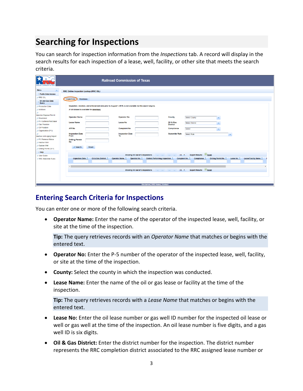# <span id="page-5-0"></span>**Searching for Inspections**

You can search for inspection information from the *Inspections* tab. A record will display in the search results for each inspection of a lease, well, facility, or other site that meets the search criteria.

| AEROAD COMMISSION OF TRU                             | <b>Railroad Commission of Texas</b>                                                                                                                                                                                                                                                                                          |  |  |
|------------------------------------------------------|------------------------------------------------------------------------------------------------------------------------------------------------------------------------------------------------------------------------------------------------------------------------------------------------------------------------------|--|--|
| Menu<br>$\blacktriangleleft$<br>- Public Data Access | RRC Online Inspection Lookup (RRC OIL)                                                                                                                                                                                                                                                                                       |  |  |
| <b>D RRC OIL</b>                                     |                                                                                                                                                                                                                                                                                                                              |  |  |
| Oil and Gas Data                                     | <b>Violations</b><br>Inspections                                                                                                                                                                                                                                                                                             |  |  |
| Query                                                |                                                                                                                                                                                                                                                                                                                              |  |  |
| <b>D</b> Production Data                             | Inspection, violation, and enforcement data prior to August 1, 2015, is not available via this search engine.                                                                                                                                                                                                                |  |  |
| D Wellbore                                           | A full dataset is available for download.                                                                                                                                                                                                                                                                                    |  |  |
| a                                                    |                                                                                                                                                                                                                                                                                                                              |  |  |
| <b>Injection Disposal Permit</b><br>Severance        | <b>Operator No</b><br><b>Operator Name</b><br>County<br>Select County<br>۰                                                                                                                                                                                                                                                   |  |  |
| D P-4 Gatherer/Purchaser                             |                                                                                                                                                                                                                                                                                                                              |  |  |
| <b>D</b> Gas Proration                               | Oil & Gas<br><b>Lease Name</b><br><b>Lease No</b><br><b>Select District</b><br>٠<br><b>District</b>                                                                                                                                                                                                                          |  |  |
| D Oil Proration                                      | <b>API No</b><br>Compliance<br><b>Complaint No</b>                                                                                                                                                                                                                                                                           |  |  |
| D Organization (P-5)                                 | Select<br>$\overline{\phantom{a}}$                                                                                                                                                                                                                                                                                           |  |  |
| д                                                    | <b>Inspection Date</b><br><b>Inspection Date</b><br><b>Statewide Rule</b><br>Select Rule<br>$\overline{\phantom{a}}$                                                                                                                                                                                                         |  |  |
| Inactive Well Aging Report                           | To<br>From                                                                                                                                                                                                                                                                                                                   |  |  |
| D P-5 Renewal Status                                 | <b>Drilling Permit</b><br><b>No</b>                                                                                                                                                                                                                                                                                          |  |  |
| D Inactive Well                                      |                                                                                                                                                                                                                                                                                                                              |  |  |
| D Orphan Well<br>Drilling Permit (W-1)               | Reset<br><b>D</b> Search                                                                                                                                                                                                                                                                                                     |  |  |
| $-$ Help                                             |                                                                                                                                                                                                                                                                                                                              |  |  |
| ? User Guide                                         | $X =$ Excel<br><b>Export Results:</b><br>Showing 0-0 out of 0 inspections<br>10 <sub>v</sub><br>$14 - 44$<br><b>Sales Street</b>                                                                                                                                                                                             |  |  |
| <b>7 RRC Statewide Rules</b>                         | Oil & Gas District $\degree$<br><b>Operator Name</b><br><b>District Performing Inspection ↓</b><br>Lease/Facility Name $\hat{\triangledown}$<br><b>Inspection Date</b><br>Operator No $\hat{\heartsuit}$<br><b>Complaint No</b><br>Compliance $\hat{\mathbb{C}}$<br>Drilling Permit No $\hat{\mathbb{C}}$<br><b>Lease No</b> |  |  |
|                                                      |                                                                                                                                                                                                                                                                                                                              |  |  |
|                                                      | <b>Export Results: Excel</b>                                                                                                                                                                                                                                                                                                 |  |  |
|                                                      | Showing 0-0 out of 0 inspections<br>10 <sub>v</sub><br>14 44 DE HE                                                                                                                                                                                                                                                           |  |  |
|                                                      |                                                                                                                                                                                                                                                                                                                              |  |  |
|                                                      |                                                                                                                                                                                                                                                                                                                              |  |  |
|                                                      |                                                                                                                                                                                                                                                                                                                              |  |  |
|                                                      | Disclaimer   RRC Home   Contact                                                                                                                                                                                                                                                                                              |  |  |

#### <span id="page-5-1"></span>**Entering Search Criteria for Inspections**

You can enter one or more of the following search criteria.

• **Operator Name:** Enter the name of the operator of the inspected lease, well, facility, or site at the time of the inspection.

**Tip:** The query retrieves records with an *Operator Name* that matches or begins with the entered text.

- **Operator No:** Enter the P-5 number of the operator of the inspected lease, well, facility, or site at the time of the inspection.
- **County:** Select the county in which the inspection was conducted.
- **Lease Name:** Enter the name of the oil or gas lease or facility at the time of the inspection.

**Tip:** The query retrieves records with a *Lease Name* that matches or begins with the entered text.

- **Lease No:** Enter the oil lease number or gas well ID number for the inspected oil lease or well or gas well at the time of the inspection. An oil lease number is five digits, and a gas well ID is six digits.
- **Oil & Gas District:** Enter the district number for the inspection. The district number represents the RRC completion district associated to the RRC assigned lease number or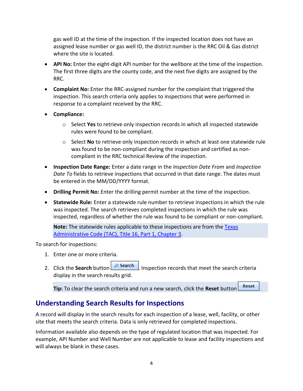gas well ID at the time of the inspection. If the inspected location does not have an assigned lease number or gas well ID, the district number is the RRC Oil & Gas district where the site is located.

- **API No:** Enter the eight-digit API number for the wellbore at the time of the inspection. The first three digits are the county code, and the next five digits are assigned by the RRC.
- **Complaint No:** Enter the RRC-assigned number for the complaint that triggered the inspection. This search criteria only applies to inspections that were performed in response to a complaint received by the RRC.
- **Compliance:**
	- o Select **Yes** to retrieve only inspection records in which all inspected statewide rules were found to be compliant.
	- o Select **No** to retrieve only inspection records in which at least one statewide rule was found to be non-compliant during the inspection and certified as noncompliant in the RRC technical Review of the inspection.
- **Inspection Date Range:** Enter a date range in the *Inspection Date From* and *Inspection Date To* fields to retrieve inspections that occurred in that date range. The dates must be entered in the MM/DD/YYYY format.
- **Drilling Permit No:** Enter the drilling permit number at the time of the inspection.
- **Statewide Rule:** Enter a statewide rule number to retrieve inspections in which the rule was inspected. The search retrieves completed inspections in which the rule was inspected, regardless of whether the rule was found to be compliant or non-compliant.

**Note:** The statewide rules applicable to these inspections are from the [Texas](http://texreg.sos.state.tx.us/public/readtac$ext.ViewTAC?tac_view=4&ti=16&pt=1&ch=3&rl=Y)  [Administrative Code \(TAC\), Title 16, Part 1, Chapter 3.](http://texreg.sos.state.tx.us/public/readtac$ext.ViewTAC?tac_view=4&ti=16&pt=1&ch=3&rl=Y)

To search for inspections:

- 1. Enter one or more criteria.
- 2. Click the **Search** button **P** Search . Inspection records that meet the search criteria display in the search results grid.

**Tip:** To clear the search criteria and run a new search, click the **Reset** button .

#### <span id="page-6-0"></span>**Understanding Search Results for Inspections**

A record will display in the search results for each inspection of a lease, well, facility, or other site that meets the search criteria. Data is only retrieved for completed inspections.

Information available also depends on the type of regulated location that was inspected. For example, API Number and Well Number are not applicable to lease and facility inspections and will always be blank in these cases.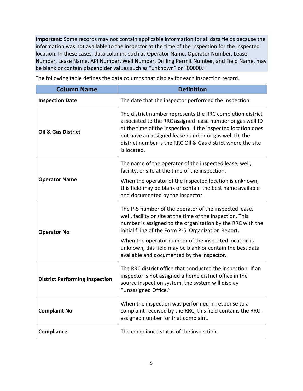**Important:** Some records may not contain applicable information for all data fields because the information was not available to the inspector at the time of the inspection for the inspected location. In these cases, data columns such as Operator Name, Operator Number, Lease Number, Lease Name, API Number, Well Number, Drilling Permit Number, and Field Name, may be blank or contain placeholder values such as "unknown" or "00000."

| <b>Column Name</b>                    | <b>Definition</b>                                                                                                                                                                                                                                                                                                                                                                                              |
|---------------------------------------|----------------------------------------------------------------------------------------------------------------------------------------------------------------------------------------------------------------------------------------------------------------------------------------------------------------------------------------------------------------------------------------------------------------|
| <b>Inspection Date</b>                | The date that the inspector performed the inspection.                                                                                                                                                                                                                                                                                                                                                          |
| <b>Oil &amp; Gas District</b>         | The district number represents the RRC completion district<br>associated to the RRC assigned lease number or gas well ID<br>at the time of the inspection. If the inspected location does<br>not have an assigned lease number or gas well ID, the<br>district number is the RRC Oil & Gas district where the site<br>is located.                                                                              |
| <b>Operator Name</b>                  | The name of the operator of the inspected lease, well,<br>facility, or site at the time of the inspection.<br>When the operator of the inspected location is unknown,<br>this field may be blank or contain the best name available<br>and documented by the inspector.                                                                                                                                        |
| <b>Operator No</b>                    | The P-5 number of the operator of the inspected lease,<br>well, facility or site at the time of the inspection. This<br>number is assigned to the organization by the RRC with the<br>initial filing of the Form P-5, Organization Report.<br>When the operator number of the inspected location is<br>unknown, this field may be blank or contain the best data<br>available and documented by the inspector. |
| <b>District Performing Inspection</b> | The RRC district office that conducted the inspection. If an<br>inspector is not assigned a home district office in the<br>source inspection system, the system will display<br>"Unassigned Office."                                                                                                                                                                                                           |
| <b>Complaint No</b>                   | When the inspection was performed in response to a<br>complaint received by the RRC, this field contains the RRC-<br>assigned number for that complaint.                                                                                                                                                                                                                                                       |
| Compliance                            | The compliance status of the inspection.                                                                                                                                                                                                                                                                                                                                                                       |

The following table defines the data columns that display for each inspection record.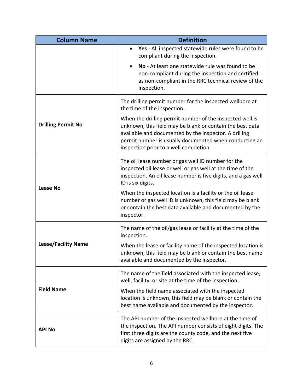| <b>Column Name</b>         | <b>Definition</b>                                                                                                                                                                                                                                                                  |  |
|----------------------------|------------------------------------------------------------------------------------------------------------------------------------------------------------------------------------------------------------------------------------------------------------------------------------|--|
|                            | Yes - All inspected statewide rules were found to be<br>$\bullet$<br>compliant during the inspection.                                                                                                                                                                              |  |
|                            | No - At least one statewide rule was found to be<br>$\bullet$<br>non-compliant during the inspection and certified<br>as non-compliant in the RRC technical review of the<br>inspection.                                                                                           |  |
|                            | The drilling permit number for the inspected wellbore at<br>the time of the inspection.                                                                                                                                                                                            |  |
| <b>Drilling Permit No</b>  | When the drilling permit number of the inspected well is<br>unknown, this field may be blank or contain the best data<br>available and documented by the inspector. A drilling<br>permit number is usually documented when conducting an<br>inspection prior to a well completion. |  |
| <b>Lease No</b>            | The oil lease number or gas well ID number for the<br>inspected oil lease or well or gas well at the time of the<br>inspection. An oil lease number is five digits, and a gas well<br>ID is six digits.                                                                            |  |
|                            | When the inspected location is a facility or the oil lease<br>number or gas well ID is unknown, this field may be blank<br>or contain the best data available and documented by the<br>inspector.                                                                                  |  |
|                            | The name of the oil/gas lease or facility at the time of the<br>inspection.                                                                                                                                                                                                        |  |
| <b>Lease/Facility Name</b> | When the lease or facility name of the inspected location is<br>unknown, this field may be blank or contain the best name<br>available and documented by the inspector.                                                                                                            |  |
|                            | The name of the field associated with the inspected lease,<br>well, facility, or site at the time of the inspection.                                                                                                                                                               |  |
| <b>Field Name</b>          | When the field name associated with the inspected<br>location is unknown, this field may be blank or contain the<br>best name available and documented by the inspector.                                                                                                           |  |
| <b>API No</b>              | The API number of the inspected wellbore at the time of<br>the inspection. The API number consists of eight digits. The<br>first three digits are the county code, and the next five<br>digits are assigned by the RRC.                                                            |  |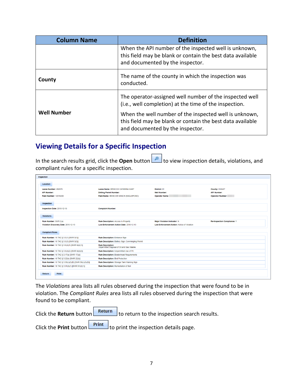| <b>Column Name</b> | <b>Definition</b>                                                                                                                                        |  |
|--------------------|----------------------------------------------------------------------------------------------------------------------------------------------------------|--|
|                    | When the API number of the inspected well is unknown,<br>this field may be blank or contain the best data available<br>and documented by the inspector.  |  |
| County             | The name of the county in which the inspection was<br>conducted.                                                                                         |  |
|                    | The operator-assigned well number of the inspected well<br>(i.e., well completion) at the time of the inspection.                                        |  |
| <b>Well Number</b> | When the well number of the inspected well is unknown,<br>this field may be blank or contain the best data available<br>and documented by the inspector. |  |

### <span id="page-9-0"></span>**Viewing Details for a Specific Inspection**

In the search results grid, click the **Open** button **the view inspection details, violations, and** compliant rules for a specific inspection.

| Inspection                                                                               |                                                                        |                                              |                                    |
|------------------------------------------------------------------------------------------|------------------------------------------------------------------------|----------------------------------------------|------------------------------------|
|                                                                                          |                                                                        |                                              |                                    |
| Location                                                                                 |                                                                        |                                              |                                    |
| Lease Number: 282870                                                                     | Lease Name: BRISCOE CATARINA EAST                                      | District: 01                                 | <b>County: DIMMIT</b>              |
| <b>API Number:</b>                                                                       | <b>Drilling Permit Number:</b>                                         | <b>Well Number:</b>                          | <b>API Number:</b>                 |
| <b>Field Number: 12018200</b>                                                            | Field Name: BRISCOE RANCH (EAGLEFORD)                                  | <b>Operator Name:</b>                        | <b>Operator Number:</b>            |
| Inspection                                                                               |                                                                        |                                              |                                    |
|                                                                                          |                                                                        |                                              |                                    |
| Inspection Date: 2018-12-13                                                              | <b>Complaint Number:</b>                                               |                                              |                                    |
| <b>Violations</b>                                                                        |                                                                        |                                              |                                    |
| Rule Number: SWR 2(a)                                                                    | Rule Description: Access to Property                                   | <b>Major Violation Indicator: N</b>          | <b>Re-Inspection Compliance: Y</b> |
| Violation Discovery Date: 2018-12-13                                                     | Last Enforcement Action Date: 2018-12-13                               | Last Enforcement Action: Notice of Violation |                                    |
|                                                                                          |                                                                        |                                              |                                    |
|                                                                                          |                                                                        |                                              |                                    |
| <b>Compliant Rules</b>                                                                   |                                                                        |                                              |                                    |
| Rule Number: 16 TAC § 3.3(1) [SWR 3(1)]                                                  | <b>Rule Description: Entrance Sign</b>                                 |                                              |                                    |
| Rule Number: 16 TAC § 3.3(3) [SWR 3(3)]                                                  | Rule Description: Battery Sign; Commingling Permit                     |                                              |                                    |
| Rule Number: 16 TAC § 3.8(d)(1) [SWR 8(d)(1)]                                            | <b>Rule Description:</b><br>Unpermitted Disposal of Oil and Gas Wastes |                                              |                                    |
| Rule Number: 16 TAC § 3.8(d)(2) [SWR 8(d)(2)]                                            | Rule Description: Unpermitted Use of Pit                               |                                              |                                    |
| Rule Number: 16 TAC § 3.17(a) [SWR 17(a)]                                                | <b>Rule Description: Bradenhead Requirements</b>                       |                                              |                                    |
| Rule Number: 16 TAC § 3.22(b) [SWR 22(b)]                                                | <b>Rule Description: Bird Protection</b>                               |                                              |                                    |
| Rule Number: 16 TAC § 3.36(c)(5)(B) [SWR 36(c)(5)(B)]                                    | Rule Description: Storage Tank Warning Sign                            |                                              |                                    |
| Rule Number: 16 TAC § 3.91(d)(1) [SWR 91(d)(1)]<br>Rule Description: Remediation of Soil |                                                                        |                                              |                                    |
|                                                                                          |                                                                        |                                              |                                    |
| Print<br>Return                                                                          |                                                                        |                                              |                                    |
|                                                                                          |                                                                        |                                              |                                    |

The *Violations* area lists all rules observed during the inspection that were found to be in violation. The *Compliant Rules* area lists all rules observed during the inspection that were found to be compliant.

|  | Click the Return button $\left\lfloor \frac{\text{Return}}{\text{to return}} \right\rfloor$ to return to the inspection search results. |
|--|-----------------------------------------------------------------------------------------------------------------------------------------|
|  |                                                                                                                                         |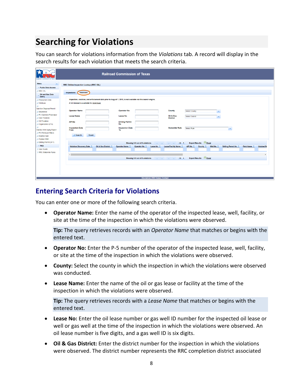# <span id="page-10-0"></span>**Searching for Violations**

You can search for violations information from the *Violations* tab. A record will display in the search results for each violation that meets the search criteria.

| AEROAD COMMISSION OF TEXA                                                                                                                                                                                  | <b>Railroad Commission of Texas</b>                                                                                                                                                                                                                                                                                                                                                                                                                                                                                                                                                                                                          |
|------------------------------------------------------------------------------------------------------------------------------------------------------------------------------------------------------------|----------------------------------------------------------------------------------------------------------------------------------------------------------------------------------------------------------------------------------------------------------------------------------------------------------------------------------------------------------------------------------------------------------------------------------------------------------------------------------------------------------------------------------------------------------------------------------------------------------------------------------------------|
| Menu<br>$\overline{4}$<br>- Public Data Access<br><b>D RRC OIL</b><br>Oil and Gas Data<br>Query<br>Production Data                                                                                         | RRC Online Inspection Lookup (RRC OIL)<br>Inspections<br><b>Violations</b><br>Inspection, violation, and enforcement data prior to August 1, 2015, is not available via this search engine.                                                                                                                                                                                                                                                                                                                                                                                                                                                  |
| D Wellbore<br>a<br>Injection Disposal Permit<br>Severance<br>D P-4 Gatherer/Purchaser<br>Gas Proration<br>Oil Proration<br>D Organization (P-5)<br>a<br>Inactive Well Aging Report<br>D P-5 Renewal Status | A full dataset is available for download,<br><b>Operator Name</b><br><b>Operator No</b><br>County<br>Select County<br>$\mathbf{v}$<br>Oil & Gas<br><b>Lease Name</b><br><b>Lease No</b><br>Select District<br>$\mathbf{v}$<br><b>District</b><br><b>API No</b><br><b>Drilling Permit</b><br>No<br><b>Inspection Date</b><br><b>Inspection Date</b><br><b>Statewide Rule</b><br>Select Rule<br>$\mathbf{v}$<br>From<br>To                                                                                                                                                                                                                     |
| D Inactive Well<br>Orphan Well<br>Dilling Permit (W-1)<br>$-$ Help<br><sup>7</sup> User Guide<br><b>7 RRC Statewide Rules</b>                                                                              | Reset<br>D Search<br><b>Excel</b><br>Showing 0-0 out of 0 violations<br>10 <sub>v</sub><br><b>Export Results:</b><br><b>BS BT</b><br><b>IH</b><br>$\sim$<br>Violation Discovery Date $\Diamond$<br>Oil & Gas District C<br>Operator Name C<br>Operator No $\Leftrightarrow$<br>Lease No $\Leftrightarrow$<br><b>Lease/Facility Name</b><br>API No $\Leftrightarrow$<br>Well No $\hat{z}$<br>Drilling Permit No $\Leftrightarrow$<br>Field Name C<br><b>Violated Rt</b><br>County<br>٥<br>Export Results: Excel<br>Showing 0-0 out of 0 violations<br>10 <sub>v</sub><br>$14 - 44$<br><b>BOY BY</b><br><b>Disclaimer   RRC Home   Contact</b> |

#### <span id="page-10-1"></span>**Entering Search Criteria for Violations**

You can enter one or more of the following search criteria.

• **Operator Name:** Enter the name of the operator of the inspected lease, well, facility, or site at the time of the inspection in which the violations were observed.

**Tip:** The query retrieves records with an *Operator Name* that matches or begins with the entered text.

- **Operator No:** Enter the P-5 number of the operator of the inspected lease, well, facility, or site at the time of the inspection in which the violations were observed.
- **County:** Select the county in which the inspection in which the violations were observed was conducted.
- **Lease Name:** Enter the name of the oil or gas lease or facility at the time of the inspection in which the violations were observed.

**Tip:** The query retrieves records with a *Lease Name* that matches or begins with the entered text.

- **Lease No:** Enter the oil lease number or gas well ID number for the inspected oil lease or well or gas well at the time of the inspection in which the violations were observed. An oil lease number is five digits, and a gas well ID is six digits.
- **Oil & Gas District:** Enter the district number for the inspection in which the violations were observed. The district number represents the RRC completion district associated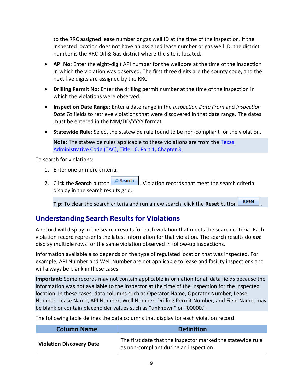to the RRC assigned lease number or gas well ID at the time of the inspection. If the inspected location does not have an assigned lease number or gas well ID, the district number is the RRC Oil & Gas district where the site is located.

- **API No:** Enter the eight-digit API number for the wellbore at the time of the inspection in which the violation was observed. The first three digits are the county code, and the next five digits are assigned by the RRC.
- **Drilling Permit No:** Enter the drilling permit number at the time of the inspection in which the violations were observed.
- **Inspection Date Range:** Enter a date range in the *Inspection Date From* and *Inspection Date To* fields to retrieve violations that were discovered in that date range. The dates must be entered in the MM/DD/YYYY format.
- **Statewide Rule:** Select the statewide rule found to be non-compliant for the violation.

**Note:** The statewide rules applicable to these violations are from the [Texas](http://texreg.sos.state.tx.us/public/readtac$ext.ViewTAC?tac_view=4&ti=16&pt=1&ch=3&rl=Y)  [Administrative Code \(TAC\), Title 16, Part 1, Chapter 3.](http://texreg.sos.state.tx.us/public/readtac$ext.ViewTAC?tac_view=4&ti=16&pt=1&ch=3&rl=Y)

To search for violations:

- 1. Enter one or more criteria.
- 2. Click the **Search** button **P** Search . Violation records that meet the search criteria display in the search results grid.

**Tip:** To clear the search criteria and run a new search, click the **Reset** button .

#### <span id="page-11-0"></span>**Understanding Search Results for Violations**

A record will display in the search results for each violation that meets the search criteria. Each violation record represents the latest information for that violation. The search results do *not* display multiple rows for the same violation observed in follow-up inspections.

Information available also depends on the type of regulated location that was inspected. For example, API Number and Well Number are not applicable to lease and facility inspections and will always be blank in these cases.

**Important:** Some records may not contain applicable information for all data fields because the information was not available to the inspector at the time of the inspection for the inspected location. In these cases, data columns such as Operator Name, Operator Number, Lease Number, Lease Name, API Number, Well Number, Drilling Permit Number, and Field Name, may be blank or contain placeholder values such as "unknown" or "00000."

The following table defines the data columns that display for each violation record.

| <b>Column Name</b>              | <b>Definition</b>                                                                                     |
|---------------------------------|-------------------------------------------------------------------------------------------------------|
| <b>Violation Discovery Date</b> | The first date that the inspector marked the statewide rule<br>as non-compliant during an inspection. |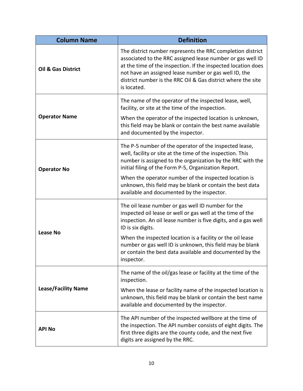| <b>Column Name</b>            | <b>Definition</b>                                                                                                                                                                                                                                                                                                                                                                                              |
|-------------------------------|----------------------------------------------------------------------------------------------------------------------------------------------------------------------------------------------------------------------------------------------------------------------------------------------------------------------------------------------------------------------------------------------------------------|
| <b>Oil &amp; Gas District</b> | The district number represents the RRC completion district<br>associated to the RRC assigned lease number or gas well ID<br>at the time of the inspection. If the inspected location does<br>not have an assigned lease number or gas well ID, the<br>district number is the RRC Oil & Gas district where the site<br>is located.                                                                              |
| <b>Operator Name</b>          | The name of the operator of the inspected lease, well,<br>facility, or site at the time of the inspection.<br>When the operator of the inspected location is unknown,<br>this field may be blank or contain the best name available<br>and documented by the inspector.                                                                                                                                        |
| <b>Operator No</b>            | The P-5 number of the operator of the inspected lease,<br>well, facility or site at the time of the inspection. This<br>number is assigned to the organization by the RRC with the<br>initial filing of the Form P-5, Organization Report.<br>When the operator number of the inspected location is<br>unknown, this field may be blank or contain the best data<br>available and documented by the inspector. |
| <b>Lease No</b>               | The oil lease number or gas well ID number for the<br>inspected oil lease or well or gas well at the time of the<br>inspection. An oil lease number is five digits, and a gas well<br>ID is six digits.<br>When the inspected location is a facility or the oil lease<br>number or gas well ID is unknown, this field may be blank<br>or contain the best data available and documented by the<br>inspector.   |
| <b>Lease/Facility Name</b>    | The name of the oil/gas lease or facility at the time of the<br>inspection.<br>When the lease or facility name of the inspected location is<br>unknown, this field may be blank or contain the best name<br>available and documented by the inspector.                                                                                                                                                         |
| <b>API No</b>                 | The API number of the inspected wellbore at the time of<br>the inspection. The API number consists of eight digits. The<br>first three digits are the county code, and the next five<br>digits are assigned by the RRC.                                                                                                                                                                                        |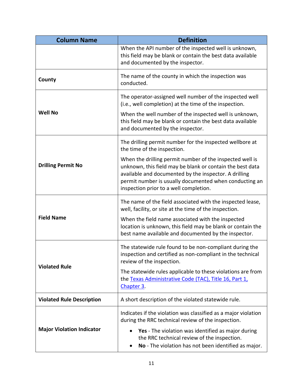| <b>Column Name</b>               | <b>Definition</b>                                                                                                                                                                                                                                                                  |  |  |  |  |  |
|----------------------------------|------------------------------------------------------------------------------------------------------------------------------------------------------------------------------------------------------------------------------------------------------------------------------------|--|--|--|--|--|
|                                  | When the API number of the inspected well is unknown,<br>this field may be blank or contain the best data available<br>and documented by the inspector.                                                                                                                            |  |  |  |  |  |
| <b>County</b>                    | The name of the county in which the inspection was<br>conducted.                                                                                                                                                                                                                   |  |  |  |  |  |
| <b>Well No</b>                   | The operator-assigned well number of the inspected well<br>(i.e., well completion) at the time of the inspection.<br>When the well number of the inspected well is unknown,<br>this field may be blank or contain the best data available<br>and documented by the inspector.      |  |  |  |  |  |
|                                  | The drilling permit number for the inspected wellbore at<br>the time of the inspection.                                                                                                                                                                                            |  |  |  |  |  |
| <b>Drilling Permit No</b>        | When the drilling permit number of the inspected well is<br>unknown, this field may be blank or contain the best data<br>available and documented by the inspector. A drilling<br>permit number is usually documented when conducting an<br>inspection prior to a well completion. |  |  |  |  |  |
|                                  | The name of the field associated with the inspected lease,<br>well, facility, or site at the time of the inspection.                                                                                                                                                               |  |  |  |  |  |
| <b>Field Name</b>                | When the field name associated with the inspected<br>location is unknown, this field may be blank or contain the<br>best name available and documented by the inspector.                                                                                                           |  |  |  |  |  |
| <b>Violated Rule</b>             | The statewide rule found to be non-compliant during the<br>inspection and certified as non-compliant in the technical<br>review of the inspection.                                                                                                                                 |  |  |  |  |  |
|                                  | The statewide rules applicable to these violations are from<br>the Texas Administrative Code (TAC), Title 16, Part 1,<br>Chapter 3.                                                                                                                                                |  |  |  |  |  |
| <b>Violated Rule Description</b> | A short description of the violated statewide rule.                                                                                                                                                                                                                                |  |  |  |  |  |
| <b>Major Violation Indicator</b> | Indicates if the violation was classified as a major violation<br>during the RRC technical review of the inspection.<br>Yes - The violation was identified as major during<br>the RRC technical review of the inspection.<br>No - The violation has not been identified as major.  |  |  |  |  |  |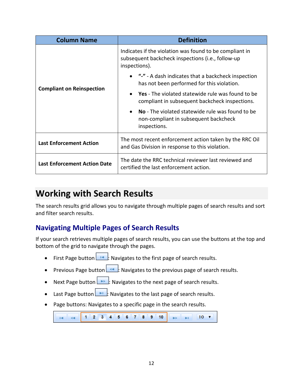| <b>Column Name</b>                  | <b>Definition</b>                                                                                                             |  |  |  |  |  |  |
|-------------------------------------|-------------------------------------------------------------------------------------------------------------------------------|--|--|--|--|--|--|
|                                     | Indicates if the violation was found to be compliant in<br>subsequent backcheck inspections (i.e., follow-up<br>inspections). |  |  |  |  |  |  |
|                                     | "-" - A dash indicates that a backcheck inspection<br>has not been performed for this violation.                              |  |  |  |  |  |  |
| <b>Compliant on Reinspection</b>    | <b>Yes</b> - The violated statewide rule was found to be<br>compliant in subsequent backcheck inspections.                    |  |  |  |  |  |  |
|                                     | No - The violated statewide rule was found to be<br>$\bullet$<br>non-compliant in subsequent backcheck<br>inspections.        |  |  |  |  |  |  |
| <b>Last Enforcement Action</b>      | The most recent enforcement action taken by the RRC Oil<br>and Gas Division in response to this violation.                    |  |  |  |  |  |  |
| <b>Last Enforcement Action Date</b> | The date the RRC technical reviewer last reviewed and<br>certified the last enforcement action.                               |  |  |  |  |  |  |

## <span id="page-14-0"></span>**Working with Search Results**

The search results grid allows you to navigate through multiple pages of search results and sort and filter search results.

#### <span id="page-14-1"></span>**Navigating Multiple Pages of Search Results**

If your search retrieves multiple pages of search results, you can use the buttons at the top and bottom of the grid to navigate through the pages.

- First Page button  $\Box$ : Navigates to the first page of search results.
- Previous Page button  $\leq$ . Navigates to the previous page of search results.
- Next Page button  $\Box$ : Navigates to the next page of search results.
- Last Page button  $\Box$ : Navigates to the last page of search results.
- Page buttons: Navigates to a specific page in the search results.

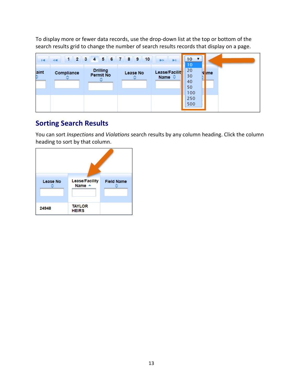To display more or fewer data records, use the drop-down list at the top or bottom of the search results grid to change the number of search results records that display on a page.

| $\blacksquare$ | $\prec$    | 1 2 3 4 5 6 7 8 9 10                |          | $\blacktriangleright$<br>H.             | $10 \times$<br>10                              |             |
|----------------|------------|-------------------------------------|----------|-----------------------------------------|------------------------------------------------|-------------|
| aint<br>≎      | Compliance | <b>Drilling</b><br><b>Permit No</b> | Lease No | Lease/Facilit<br>Name $\Leftrightarrow$ | 20<br>N<br>30<br>40<br>50<br>100<br>250<br>500 | <b>Inme</b> |

#### <span id="page-15-0"></span>**Sorting Search Results**

You can sort *Inspections* and *Violations* search results by any column heading. Click the column heading to sort by that column.

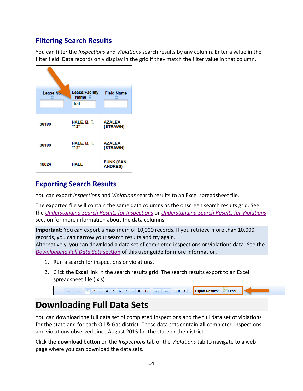#### <span id="page-16-0"></span>**Filtering Search Results**

You can filter the *Inspections* and *Violations* search results by any column. Enter a value in the filter field. Data records only display in the grid if they match the filter value in that column.

| Lease No | Lease/Facility<br>Name ☆<br>hal | <b>Field Name</b>                  |
|----------|---------------------------------|------------------------------------|
| 36180    | HALE, B. T.<br>"12"             | <b>AZALEA</b><br>(STRAWN)          |
| 36180    | HALE, B. T.<br>"12"             | <b>AZALEA</b><br>(STRAWN)          |
| 18024    | HALL                            | <b>FUNK (SAN</b><br><b>ANDRES)</b> |

#### <span id="page-16-1"></span>**Exporting Search Results**

You can export *Inspections* and *Violations* search results to an Excel spreadsheet file.

The exported file will contain the same data columns as the onscreen search results grid. See the *[Understanding Search Results for Inspections](#page-6-0)* or *[Understanding Search Results for Violations](#page-11-0)* section for more information about the data columns.

**Important:** You can export a maximum of 10,000 records. If you retrieve more than 10,000 records, you can narrow your search results and try again.

Alternatively, you can download a data set of completed inspections or violations data. See the *[Downloading Full Data Sets](#page-16-2)* section of this user guide for more information.

- 1. Run a search for inspections or violations.
- 2. Click the **Excel** link in the search results grid. The search results export to an Excel spreadsheet file (.xls)

|  |  |  |  |  |  |  | 1 2 3 4 5 6 7 8 9 10 > 10 10 7 Export Results: <b>Excel</b> |  |
|--|--|--|--|--|--|--|-------------------------------------------------------------|--|
|  |  |  |  |  |  |  |                                                             |  |

# <span id="page-16-2"></span>**Downloading Full Data Sets**

You can download the full data set of completed inspections and the full data set of violations for the state and for each Oil & Gas district. These data sets contain **all** completed inspections and violations observed since August 2015 for the state or the district.

Click the **download** button on the *Inspections* tab or the *Violations* tab to navigate to a web page where you can download the data sets.